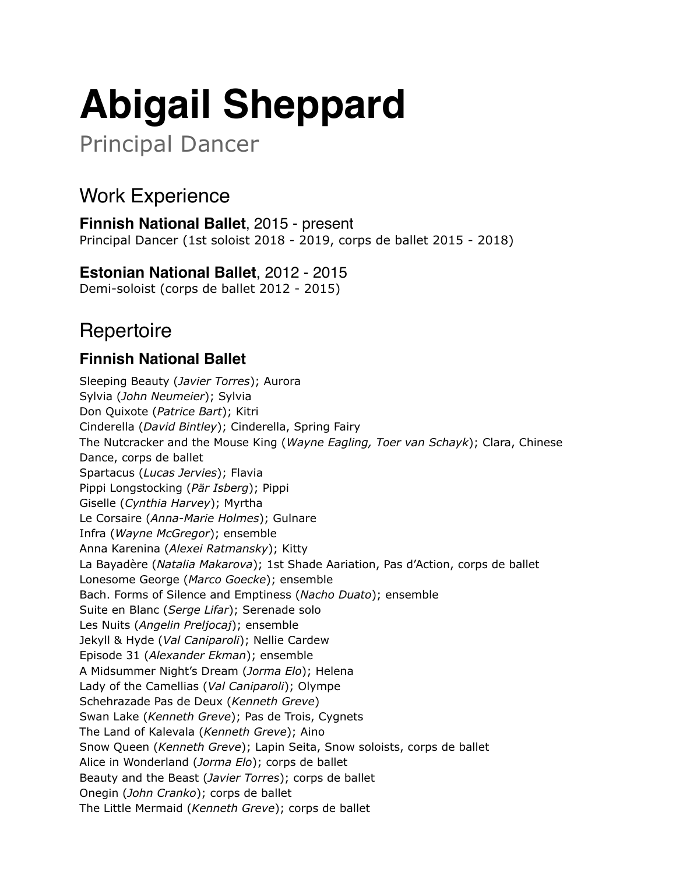# **Abigail Sheppard**

Principal Dancer

# Work Experience

**Finnish National Ballet**, 2015 - present Principal Dancer (1st soloist 2018 - 2019, corps de ballet 2015 - 2018)

# **Estonian National Ballet**, 2012 - 2015

Demi-soloist (corps de ballet 2012 - 2015)

# **Repertoire**

#### **Finnish National Ballet**

Sleeping Beauty (*Javier Torres*); Aurora Sylvia (*John Neumeier*); Sylvia Don Quixote (*Patrice Bart*); Kitri Cinderella (*David Bintley*); Cinderella, Spring Fairy The Nutcracker and the Mouse King (*Wayne Eagling, Toer van Schayk*); Clara, Chinese Dance, corps de ballet Spartacus (*Lucas Jervies*); Flavia Pippi Longstocking (*Pär Isberg*); Pippi Giselle (*Cynthia Harvey*); Myrtha Le Corsaire (*Anna-Marie Holmes*); Gulnare Infra (*Wayne McGregor*); ensemble Anna Karenina (*Alexei Ratmansky*); Kitty La Bayadère (*Natalia Makarova*); 1st Shade Aariation, Pas d'Action, corps de ballet Lonesome George (*Marco Goecke*); ensemble Bach. Forms of Silence and Emptiness (*Nacho Duato*); ensemble Suite en Blanc (*Serge Lifar*); Serenade solo Les Nuits (*Angelin Preljocaj*); ensemble Jekyll & Hyde (*Val Caniparoli*); Nellie Cardew Episode 31 (*Alexander Ekman*); ensemble A Midsummer Night's Dream (*Jorma Elo*); Helena Lady of the Camellias (*Val Caniparoli*); Olympe Schehrazade Pas de Deux (*Kenneth Greve*) Swan Lake (*Kenneth Greve*); Pas de Trois, Cygnets The Land of Kalevala (*Kenneth Greve*); Aino Snow Queen (*Kenneth Greve*); Lapin Seita, Snow soloists, corps de ballet Alice in Wonderland (*Jorma Elo*); corps de ballet Beauty and the Beast (*Javier Torres*); corps de ballet Onegin (*John Cranko*); corps de ballet The Little Mermaid (*Kenneth Greve*); corps de ballet